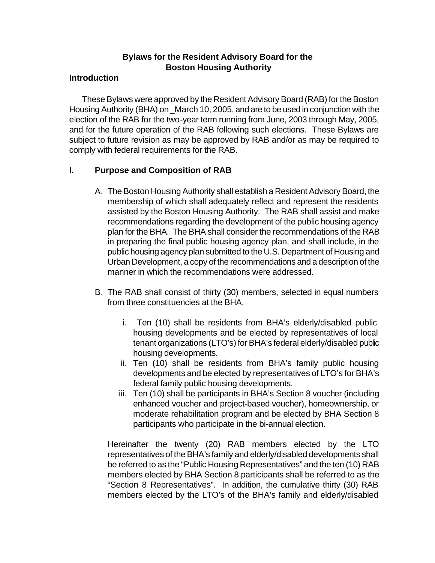# **Bylaws for the Resident Advisory Board for the Boston Housing Authority**

#### **Introduction**

These Bylaws were approved by the Resident Advisory Board (RAB) for the Boston Housing Authority (BHA) on \_March 10, 2005, and are to be used in conjunction with the election of the RAB for the two-year term running from June, 2003 through May, 2005, and for the future operation of the RAB following such elections. These Bylaws are subject to future revision as may be approved by RAB and/or as may be required to comply with federal requirements for the RAB.

# **I. Purpose and Composition of RAB**

- A. The Boston Housing Authority shall establish a Resident Advisory Board, the membership of which shall adequately reflect and represent the residents assisted by the Boston Housing Authority. The RAB shall assist and make recommendations regarding the development of the public housing agency plan for the BHA. The BHA shall consider the recommendations of the RAB in preparing the final public housing agency plan, and shall include, in the public housing agency plan submitted to the U.S. Department of Housing and Urban Development, a copy of the recommendations and a description of the manner in which the recommendations were addressed.
- B. The RAB shall consist of thirty (30) members, selected in equal numbers from three constituencies at the BHA.
	- i. Ten (10) shall be residents from BHA's elderly/disabled public housing developments and be elected by representatives of local tenant organizations (LTO's) for BHA's federal elderly/disabled public housing developments.
	- ii. Ten (10) shall be residents from BHA's family public housing developments and be elected by representatives of LTO's for BHA's federal family public housing developments.
	- iii. Ten (10) shall be participants in BHA's Section 8 voucher (including enhanced voucher and project-based voucher), homeownership, or moderate rehabilitation program and be elected by BHA Section 8 participants who participate in the bi-annual election.

Hereinafter the twenty (20) RAB members elected by the LTO representatives of the BHA's family and elderly/disabled developments shall be referred to as the "Public Housing Representatives" and the ten (10) RAB members elected by BHA Section 8 participants shall be referred to as the "Section 8 Representatives". In addition, the cumulative thirty (30) RAB members elected by the LTO's of the BHA's family and elderly/disabled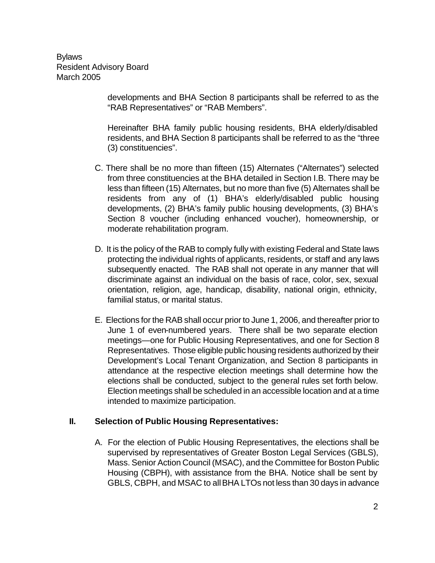> developments and BHA Section 8 participants shall be referred to as the "RAB Representatives" or "RAB Members".

> Hereinafter BHA family public housing residents, BHA elderly/disabled residents, and BHA Section 8 participants shall be referred to as the "three (3) constituencies".

- C. There shall be no more than fifteen (15) Alternates ("Alternates") selected from three constituencies at the BHA detailed in Section I.B. There may be less than fifteen (15) Alternates, but no more than five (5) Alternates shall be residents from any of (1) BHA's elderly/disabled public housing developments, (2) BHA's family public housing developments, (3) BHA's Section 8 voucher (including enhanced voucher), homeownership, or moderate rehabilitation program.
- D. It is the policy of the RAB to comply fully with existing Federal and State laws protecting the individual rights of applicants, residents, or staff and any laws subsequently enacted. The RAB shall not operate in any manner that will discriminate against an individual on the basis of race, color, sex, sexual orientation, religion, age, handicap, disability, national origin, ethnicity, familial status, or marital status.
- E. Elections for the RAB shall occur prior to June 1, 2006, and thereafter prior to June 1 of even-numbered years. There shall be two separate election meetings—one for Public Housing Representatives, and one for Section 8 Representatives. Those eligible public housing residents authorized by their Development's Local Tenant Organization, and Section 8 participants in attendance at the respective election meetings shall determine how the elections shall be conducted, subject to the general rules set forth below. Election meetings shall be scheduled in an accessible location and at a time intended to maximize participation.

## **II. Selection of Public Housing Representatives:**

A. For the election of Public Housing Representatives, the elections shall be supervised by representatives of Greater Boston Legal Services (GBLS), Mass. Senior Action Council (MSAC), and the Committee for Boston Public Housing (CBPH), with assistance from the BHA. Notice shall be sent by GBLS, CBPH, and MSAC to all BHA LTOs not less than 30 days in advance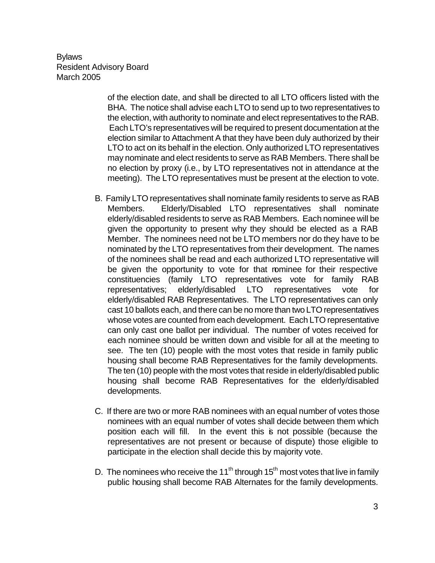of the election date, and shall be directed to all LTO officers listed with the BHA. The notice shall advise each LTO to send up to two representatives to the election, with authority to nominate and elect representatives to the RAB. Each LTO's representatives will be required to present documentation at the election similar to Attachment A that they have been duly authorized by their LTO to act on its behalf in the election. Only authorized LTO representatives may nominate and elect residents to serve as RAB Members. There shall be no election by proxy (i.e., by LTO representatives not in attendance at the meeting). The LTO representatives must be present at the election to vote.

- B. Family LTO representatives shall nominate family residents to serve as RAB Members. Elderly/Disabled LTO representatives shall nominate elderly/disabled residents to serve as RAB Members. Each nominee will be given the opportunity to present why they should be elected as a RAB Member. The nominees need not be LTO members nor do they have to be nominated by the LTO representatives from their development. The names of the nominees shall be read and each authorized LTO representative will be given the opportunity to vote for that nominee for their respective constituencies (family LTO representatives vote for family RAB representatives; elderly/disabled LTO representatives vote for elderly/disabled RAB Representatives. The LTO representatives can only cast 10 ballots each, and there can be no more than two LTO representatives whose votes are counted from each development. Each LTO representative can only cast one ballot per individual. The number of votes received for each nominee should be written down and visible for all at the meeting to see. The ten (10) people with the most votes that reside in family public housing shall become RAB Representatives for the family developments. The ten (10) people with the most votes that reside in elderly/disabled public housing shall become RAB Representatives for the elderly/disabled developments.
- C. If there are two or more RAB nominees with an equal number of votes those nominees with an equal number of votes shall decide between them which position each will fill. In the event this is not possible (because the representatives are not present or because of dispute) those eligible to participate in the election shall decide this by majority vote.
- D. The nominees who receive the 11<sup>th</sup> through 15<sup>th</sup> most votes that live in family public housing shall become RAB Alternates for the family developments.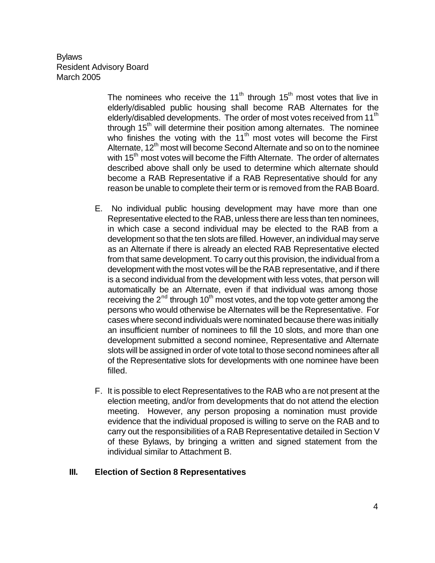The nominees who receive the  $11<sup>th</sup>$  through  $15<sup>th</sup>$  most votes that live in elderly/disabled public housing shall become RAB Alternates for the elderly/disabled developments. The order of most votes received from 11<sup>th</sup> through  $15<sup>th</sup>$  will determine their position among alternates. The nominee who finishes the voting with the  $11<sup>th</sup>$  most votes will become the First Alternate, 12<sup>th</sup> most will become Second Alternate and so on to the nominee with 15<sup>th</sup> most votes will become the Fifth Alternate. The order of alternates described above shall only be used to determine which alternate should become a RAB Representative if a RAB Representative should for any reason be unable to complete their term or is removed from the RAB Board.

- E. No individual public housing development may have more than one Representative elected to the RAB, unless there are less than ten nominees, in which case a second individual may be elected to the RAB from a development so that the ten slots are filled. However, an individual may serve as an Alternate if there is already an elected RAB Representative elected from that same development. To carry out this provision, the individual from a development with the most votes will be the RAB representative, and if there is a second individual from the development with less votes, that person will automatically be an Alternate, even if that individual was among those receiving the  $2^{nd}$  through 10<sup>th</sup> most votes, and the top vote getter among the persons who would otherwise be Alternates will be the Representative. For cases where second individuals were nominated because there was initially an insufficient number of nominees to fill the 10 slots, and more than one development submitted a second nominee, Representative and Alternate slots will be assigned in order of vote total to those second nominees after all of the Representative slots for developments with one nominee have been filled.
- F. It is possible to elect Representatives to the RAB who are not present at the election meeting, and/or from developments that do not attend the election meeting. However, any person proposing a nomination must provide evidence that the individual proposed is willing to serve on the RAB and to carry out the responsibilities of a RAB Representative detailed in Section V of these Bylaws, by bringing a written and signed statement from the individual similar to Attachment B.

## **III. Election of Section 8 Representatives**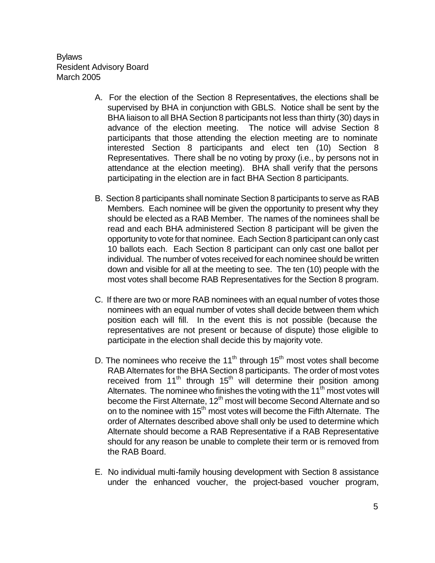- A. For the election of the Section 8 Representatives, the elections shall be supervised by BHA in conjunction with GBLS. Notice shall be sent by the BHA liaison to all BHA Section 8 participants not less than thirty (30) days in advance of the election meeting. The notice will advise Section 8 participants that those attending the election meeting are to nominate interested Section 8 participants and elect ten (10) Section 8 Representatives. There shall be no voting by proxy (i.e., by persons not in attendance at the election meeting). BHA shall verify that the persons participating in the election are in fact BHA Section 8 participants.
- B. Section 8 participants shall nominate Section 8 participants to serve as RAB Members. Each nominee will be given the opportunity to present why they should be elected as a RAB Member. The names of the nominees shall be read and each BHA administered Section 8 participant will be given the opportunity to vote for that nominee. Each Section 8 participant can only cast 10 ballots each. Each Section 8 participant can only cast one ballot per individual. The number of votes received for each nominee should be written down and visible for all at the meeting to see. The ten (10) people with the most votes shall become RAB Representatives for the Section 8 program.
- C. If there are two or more RAB nominees with an equal number of votes those nominees with an equal number of votes shall decide between them which position each will fill. In the event this is not possible (because the representatives are not present or because of dispute) those eligible to participate in the election shall decide this by majority vote.
- D. The nominees who receive the  $11<sup>th</sup>$  through  $15<sup>th</sup>$  most votes shall become RAB Alternates for the BHA Section 8 participants. The order of most votes received from  $11<sup>th</sup>$  through  $15<sup>th</sup>$  will determine their position among Alternates. The nominee who finishes the voting with the 11<sup>th</sup> most votes will become the First Alternate, 12<sup>th</sup> most will become Second Alternate and so on to the nominee with 15<sup>th</sup> most votes will become the Fifth Alternate. The order of Alternates described above shall only be used to determine which Alternate should become a RAB Representative if a RAB Representative should for any reason be unable to complete their term or is removed from the RAB Board.
- E. No individual multi-family housing development with Section 8 assistance under the enhanced voucher, the project-based voucher program,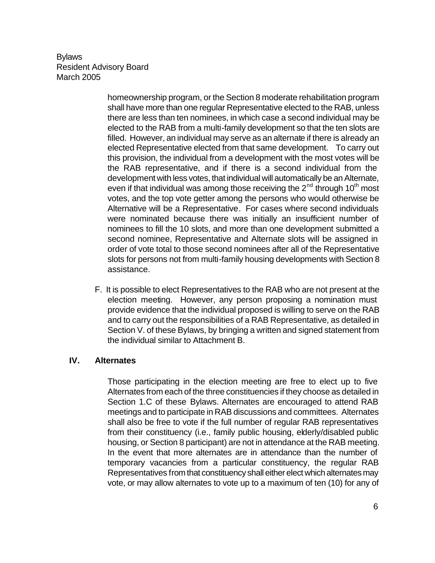> homeownership program, or the Section 8 moderate rehabilitation program shall have more than one regular Representative elected to the RAB, unless there are less than ten nominees, in which case a second individual may be elected to the RAB from a multi-family development so that the ten slots are filled. However, an individual may serve as an alternate if there is already an elected Representative elected from that same development. To carry out this provision, the individual from a development with the most votes will be the RAB representative, and if there is a second individual from the development with less votes, that individual will automatically be an Alternate, even if that individual was among those receiving the  $2<sup>nd</sup>$  through 10<sup>th</sup> most votes, and the top vote getter among the persons who would otherwise be Alternative will be a Representative. For cases where second individuals were nominated because there was initially an insufficient number of nominees to fill the 10 slots, and more than one development submitted a second nominee, Representative and Alternate slots will be assigned in order of vote total to those second nominees after all of the Representative slots for persons not from multi-family housing developments with Section 8 assistance.

F. It is possible to elect Representatives to the RAB who are not present at the election meeting. However, any person proposing a nomination must provide evidence that the individual proposed is willing to serve on the RAB and to carry out the responsibilities of a RAB Representative, as detailed in Section V. of these Bylaws, by bringing a written and signed statement from the individual similar to Attachment B.

## **IV. Alternates**

Those participating in the election meeting are free to elect up to five Alternates from each of the three constituencies if they choose as detailed in Section 1.C of these Bylaws. Alternates are encouraged to attend RAB meetings and to participate in RAB discussions and committees. Alternates shall also be free to vote if the full number of regular RAB representatives from their constituency (i.e., family public housing, elderly/disabled public housing, or Section 8 participant) are not in attendance at the RAB meeting. In the event that more alternates are in attendance than the number of temporary vacancies from a particular constituency, the regular RAB Representatives from that constituency shall either elect which alternates may vote, or may allow alternates to vote up to a maximum of ten (10) for any of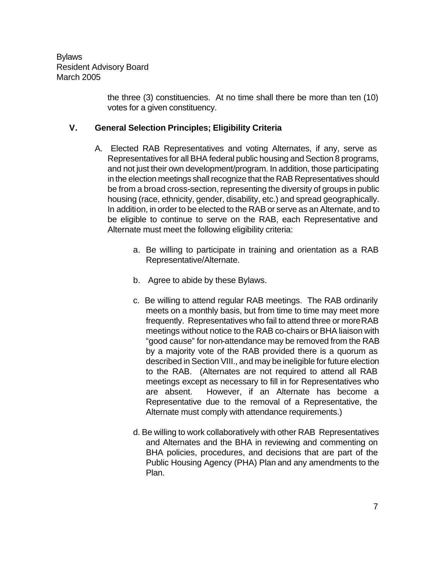> the three (3) constituencies. At no time shall there be more than ten (10) votes for a given constituency.

## **V. General Selection Principles; Eligibility Criteria**

- A. Elected RAB Representatives and voting Alternates, if any, serve as Representatives for all BHA federal public housing and Section 8 programs, and not just their own development/program. In addition, those participating in the election meetings shall recognize that the RAB Representatives should be from a broad cross-section, representing the diversity of groups in public housing (race, ethnicity, gender, disability, etc.) and spread geographically. In addition, in order to be elected to the RAB or serve as an Alternate, and to be eligible to continue to serve on the RAB, each Representative and Alternate must meet the following eligibility criteria:
	- a. Be willing to participate in training and orientation as a RAB Representative/Alternate.
	- b. Agree to abide by these Bylaws.
	- c. Be willing to attend regular RAB meetings. The RAB ordinarily meets on a monthly basis, but from time to time may meet more frequently. Representatives who fail to attend three or more RAB meetings without notice to the RAB co-chairs or BHA liaison with "good cause" for non-attendance may be removed from the RAB by a majority vote of the RAB provided there is a quorum as described in Section VIII., and may be ineligible for future election to the RAB. (Alternates are not required to attend all RAB meetings except as necessary to fill in for Representatives who are absent. However, if an Alternate has become a Representative due to the removal of a Representative, the Alternate must comply with attendance requirements.)
	- d. Be willing to work collaboratively with other RAB Representatives and Alternates and the BHA in reviewing and commenting on BHA policies, procedures, and decisions that are part of the Public Housing Agency (PHA) Plan and any amendments to the Plan.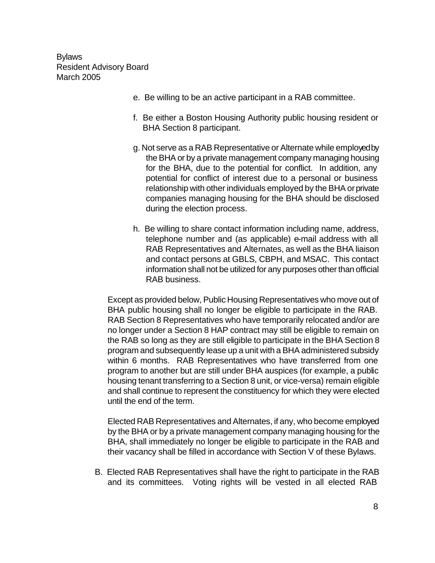- e. Be willing to be an active participant in a RAB committee.
- f. Be either a Boston Housing Authority public housing resident or BHA Section 8 participant.
- g. Not serve as a RAB Representative or Alternate while employed by the BHA or by a private management company managing housing for the BHA, due to the potential for conflict. In addition, any potential for conflict of interest due to a personal or business relationship with other individuals employed by the BHA or private companies managing housing for the BHA should be disclosed during the election process.
- h. Be willing to share contact information including name, address, telephone number and (as applicable) e-mail address with all RAB Representatives and Alternates, as well as the BHA liaison and contact persons at GBLS, CBPH, and MSAC. This contact information shall not be utilized for any purposes other than official RAB business.

Except as provided below, Public Housing Representatives who move out of BHA public housing shall no longer be eligible to participate in the RAB. RAB Section 8 Representatives who have temporarily relocated and/or are no longer under a Section 8 HAP contract may still be eligible to remain on the RAB so long as they are still eligible to participate in the BHA Section 8 program and subsequently lease up a unit with a BHA administered subsidy within 6 months. RAB Representatives who have transferred from one program to another but are still under BHA auspices (for example, a public housing tenant transferring to a Section 8 unit, or vice-versa) remain eligible and shall continue to represent the constituency for which they were elected until the end of the term.

Elected RAB Representatives and Alternates, if any, who become employed by the BHA or by a private management company managing housing for the BHA, shall immediately no longer be eligible to participate in the RAB and their vacancy shall be filled in accordance with Section V of these Bylaws.

B. Elected RAB Representatives shall have the right to participate in the RAB and its committees. Voting rights will be vested in all elected RAB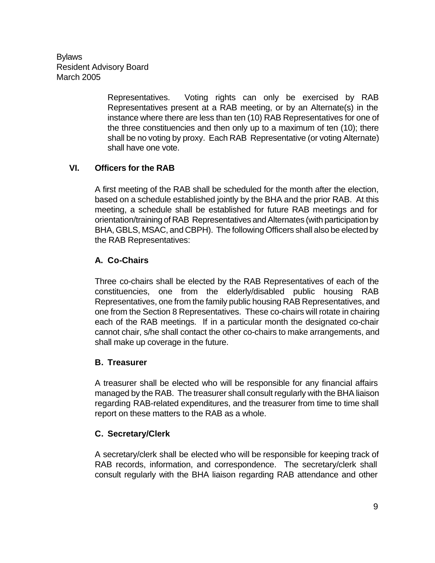> Representatives. Voting rights can only be exercised by RAB Representatives present at a RAB meeting, or by an Alternate(s) in the instance where there are less than ten (10) RAB Representatives for one of the three constituencies and then only up to a maximum of ten (10); there shall be no voting by proxy. Each RAB Representative (or voting Alternate) shall have one vote.

# **VI. Officers for the RAB**

A first meeting of the RAB shall be scheduled for the month after the election, based on a schedule established jointly by the BHA and the prior RAB. At this meeting, a schedule shall be established for future RAB meetings and for orientation/training of RAB Representatives and Alternates (with participation by BHA, GBLS, MSAC, and CBPH). The following Officers shall also be elected by the RAB Representatives:

# **A. Co-Chairs**

Three co-chairs shall be elected by the RAB Representatives of each of the constituencies, one from the elderly/disabled public housing RAB Representatives, one from the family public housing RAB Representatives, and one from the Section 8 Representatives. These co-chairs will rotate in chairing each of the RAB meetings. If in a particular month the designated co-chair cannot chair, s/he shall contact the other co-chairs to make arrangements, and shall make up coverage in the future.

## **B. Treasurer**

A treasurer shall be elected who will be responsible for any financial affairs managed by the RAB. The treasurer shall consult regularly with the BHA liaison regarding RAB-related expenditures, and the treasurer from time to time shall report on these matters to the RAB as a whole.

# **C. Secretary/Clerk**

A secretary/clerk shall be elected who will be responsible for keeping track of RAB records, information, and correspondence. The secretary/clerk shall consult regularly with the BHA liaison regarding RAB attendance and other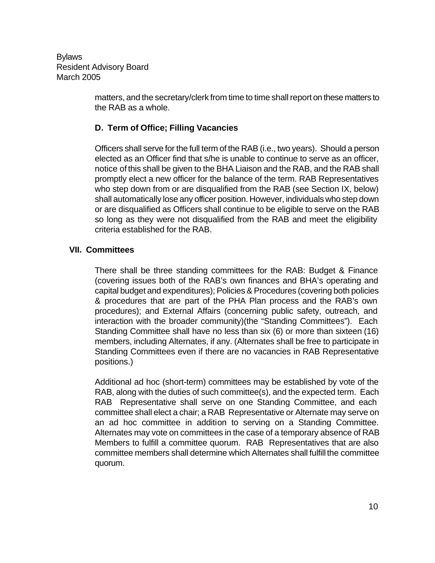> matters, and the secretary/clerk from time to time shall report on these matters to the RAB as a whole.

## **D. Term of Office; Filling Vacancies**

Officers shall serve for the full term of the RAB (i.e., two years). Should a person elected as an Officer find that s/he is unable to continue to serve as an officer, notice of this shall be given to the BHA Liaison and the RAB, and the RAB shall promptly elect a new officer for the balance of the term. RAB Representatives who step down from or are disqualified from the RAB (see Section IX, below) shall automatically lose any officer position. However, individuals who step down or are disqualified as Officers shall continue to be eligible to serve on the RAB so long as they were not disqualified from the RAB and meet the eligibility criteria established for the RAB.

## **VII. Committees**

There shall be three standing committees for the RAB: Budget & Finance (covering issues both of the RAB's own finances and BHA's operating and capital budget and expenditures); Policies & Procedures (covering both policies & procedures that are part of the PHA Plan process and the RAB's own procedures); and External Affairs (concerning public safety, outreach, and interaction with the broader community)(the "Standing Committees"). Each Standing Committee shall have no less than six (6) or more than sixteen (16) members, including Alternates, if any. (Alternates shall be free to participate in Standing Committees even if there are no vacancies in RAB Representative positions.)

Additional ad hoc (short-term) committees may be established by vote of the RAB, along with the duties of such committee(s), and the expected term. Each RAB Representative shall serve on one Standing Committee, and each committee shall elect a chair; a RAB Representative or Alternate may serve on an ad hoc committee in addition to serving on a Standing Committee. Alternates may vote on committees in the case of a temporary absence of RAB Members to fulfill a committee quorum. RAB Representatives that are also committee members shall determine which Alternates shall fulfill the committee quorum.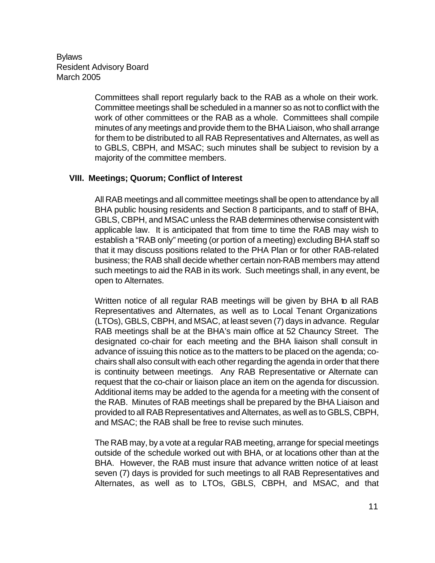> Committees shall report regularly back to the RAB as a whole on their work. Committee meetings shall be scheduled in a manner so as not to conflict with the work of other committees or the RAB as a whole. Committees shall compile minutes of any meetings and provide them to the BHA Liaison, who shall arrange for them to be distributed to all RAB Representatives and Alternates, as well as to GBLS, CBPH, and MSAC; such minutes shall be subject to revision by a majority of the committee members.

## **VIII. Meetings; Quorum; Conflict of Interest**

All RAB meetings and all committee meetings shall be open to attendance by all BHA public housing residents and Section 8 participants, and to staff of BHA, GBLS, CBPH, and MSAC unless the RAB determines otherwise consistent with applicable law. It is anticipated that from time to time the RAB may wish to establish a "RAB only" meeting (or portion of a meeting) excluding BHA staff so that it may discuss positions related to the PHA Plan or for other RAB-related business; the RAB shall decide whether certain non-RAB members may attend such meetings to aid the RAB in its work. Such meetings shall, in any event, be open to Alternates.

Written notice of all regular RAB meetings will be given by BHA to all RAB Representatives and Alternates, as well as to Local Tenant Organizations (LTOs), GBLS, CBPH, and MSAC, at least seven (7) days in advance. Regular RAB meetings shall be at the BHA's main office at 52 Chauncy Street. The designated co-chair for each meeting and the BHA liaison shall consult in advance of issuing this notice as to the matters to be placed on the agenda; cochairs shall also consult with each other regarding the agenda in order that there is continuity between meetings. Any RAB Representative or Alternate can request that the co-chair or liaison place an item on the agenda for discussion. Additional items may be added to the agenda for a meeting with the consent of the RAB. Minutes of RAB meetings shall be prepared by the BHA Liaison and provided to all RAB Representatives and Alternates, as well as to GBLS, CBPH, and MSAC; the RAB shall be free to revise such minutes.

The RAB may, by a vote at a regular RAB meeting, arrange for special meetings outside of the schedule worked out with BHA, or at locations other than at the BHA. However, the RAB must insure that advance written notice of at least seven (7) days is provided for such meetings to all RAB Representatives and Alternates, as well as to LTOs, GBLS, CBPH, and MSAC, and that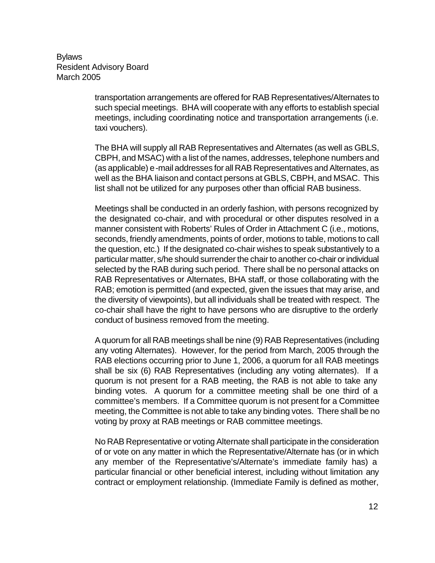> transportation arrangements are offered for RAB Representatives/Alternates to such special meetings. BHA will cooperate with any efforts to establish special meetings, including coordinating notice and transportation arrangements (i.e. taxi vouchers).

> The BHA will supply all RAB Representatives and Alternates (as well as GBLS, CBPH, and MSAC) with a list of the names, addresses, telephone numbers and (as applicable) e-mail addresses for all RAB Representatives and Alternates, as well as the BHA liaison and contact persons at GBLS, CBPH, and MSAC. This list shall not be utilized for any purposes other than official RAB business.

> Meetings shall be conducted in an orderly fashion, with persons recognized by the designated co-chair, and with procedural or other disputes resolved in a manner consistent with Roberts' Rules of Order in Attachment C (i.e., motions, seconds, friendly amendments, points of order, motions to table, motions to call the question, etc.) If the designated co-chair wishes to speak substantively to a particular matter, s/he should surrender the chair to another co-chair or individual selected by the RAB during such period. There shall be no personal attacks on RAB Representatives or Alternates, BHA staff, or those collaborating with the RAB; emotion is permitted (and expected, given the issues that may arise, and the diversity of viewpoints), but all individuals shall be treated with respect. The co-chair shall have the right to have persons who are disruptive to the orderly conduct of business removed from the meeting.

> A quorum for all RAB meetings shall be nine (9) RAB Representatives (including any voting Alternates). However, for the period from March, 2005 through the RAB elections occurring prior to June 1, 2006, a quorum for all RAB meetings shall be six (6) RAB Representatives (including any voting alternates). If a quorum is not present for a RAB meeting, the RAB is not able to take any binding votes. A quorum for a committee meeting shall be one third of a committee's members. If a Committee quorum is not present for a Committee meeting, the Committee is not able to take any binding votes. There shall be no voting by proxy at RAB meetings or RAB committee meetings.

> No RAB Representative or voting Alternate shall participate in the consideration of or vote on any matter in which the Representative/Alternate has (or in which any member of the Representative's/Alternate's immediate family has) a particular financial or other beneficial interest, including without limitation any contract or employment relationship. (Immediate Family is defined as mother,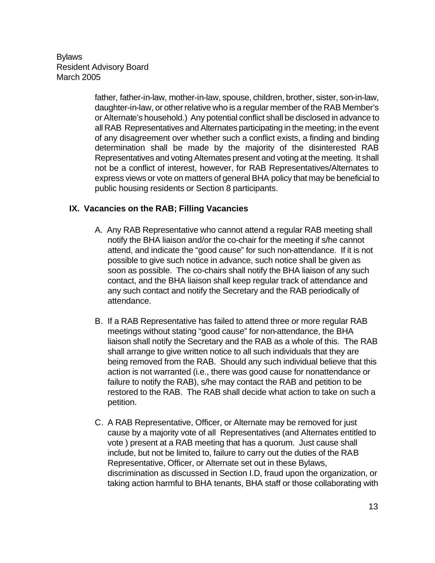> father, father-in-law, mother-in-law, spouse, children, brother, sister, son-in-law, daughter-in-law, or other relative who is a regular member of the RAB Member's or Alternate's household.) Any potential conflict shall be disclosed in advance to all RAB Representatives and Alternates participating in the meeting; in the event of any disagreement over whether such a conflict exists, a finding and binding determination shall be made by the majority of the disinterested RAB Representatives and voting Alternates present and voting at the meeting. It shall not be a conflict of interest, however, for RAB Representatives/Alternates to express views or vote on matters of general BHA policy that may be beneficial to public housing residents or Section 8 participants.

# **IX. Vacancies on the RAB; Filling Vacancies**

- A. Any RAB Representative who cannot attend a regular RAB meeting shall notify the BHA liaison and/or the co-chair for the meeting if s/he cannot attend, and indicate the "good cause" for such non-attendance. If it is not possible to give such notice in advance, such notice shall be given as soon as possible. The co-chairs shall notify the BHA liaison of any such contact, and the BHA liaison shall keep regular track of attendance and any such contact and notify the Secretary and the RAB periodically of attendance.
- B. If a RAB Representative has failed to attend three or more regular RAB meetings without stating "good cause" for non-attendance, the BHA liaison shall notify the Secretary and the RAB as a whole of this. The RAB shall arrange to give written notice to all such individuals that they are being removed from the RAB. Should any such individual believe that this action is not warranted (i.e., there was good cause for nonattendance or failure to notify the RAB), s/he may contact the RAB and petition to be restored to the RAB. The RAB shall decide what action to take on such a petition.
- C. A RAB Representative, Officer, or Alternate may be removed for just cause by a majority vote of all Representatives (and Alternates entitled to vote ) present at a RAB meeting that has a quorum. Just cause shall include, but not be limited to, failure to carry out the duties of the RAB Representative, Officer, or Alternate set out in these Bylaws, discrimination as discussed in Section I.D, fraud upon the organization, or taking action harmful to BHA tenants, BHA staff or those collaborating with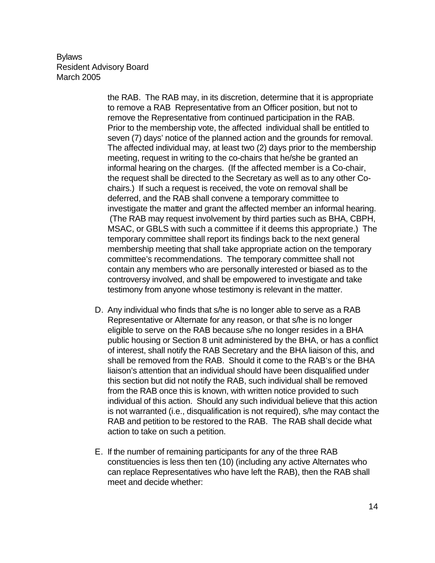the RAB. The RAB may, in its discretion, determine that it is appropriate to remove a RAB Representative from an Officer position, but not to remove the Representative from continued participation in the RAB. Prior to the membership vote, the affected individual shall be entitled to seven (7) days' notice of the planned action and the grounds for removal. The affected individual may, at least two (2) days prior to the membership meeting, request in writing to the co-chairs that he/she be granted an informal hearing on the charges. (If the affected member is a Co-chair, the request shall be directed to the Secretary as well as to any other Cochairs.) If such a request is received, the vote on removal shall be deferred, and the RAB shall convene a temporary committee to investigate the matter and grant the affected member an informal hearing. (The RAB may request involvement by third parties such as BHA, CBPH, MSAC, or GBLS with such a committee if it deems this appropriate.) The temporary committee shall report its findings back to the next general membership meeting that shall take appropriate action on the temporary committee's recommendations. The temporary committee shall not contain any members who are personally interested or biased as to the controversy involved, and shall be empowered to investigate and take testimony from anyone whose testimony is relevant in the matter.

- D. Any individual who finds that s/he is no longer able to serve as a RAB Representative or Alternate for any reason, or that s/he is no longer eligible to serve on the RAB because s/he no longer resides in a BHA public housing or Section 8 unit administered by the BHA, or has a conflict of interest, shall notify the RAB Secretary and the BHA liaison of this, and shall be removed from the RAB. Should it come to the RAB's or the BHA liaison's attention that an individual should have been disqualified under this section but did not notify the RAB, such individual shall be removed from the RAB once this is known, with written notice provided to such individual of this action. Should any such individual believe that this action is not warranted (i.e., disqualification is not required), s/he may contact the RAB and petition to be restored to the RAB. The RAB shall decide what action to take on such a petition.
- E. If the number of remaining participants for any of the three RAB constituencies is less then ten (10) (including any active Alternates who can replace Representatives who have left the RAB), then the RAB shall meet and decide whether: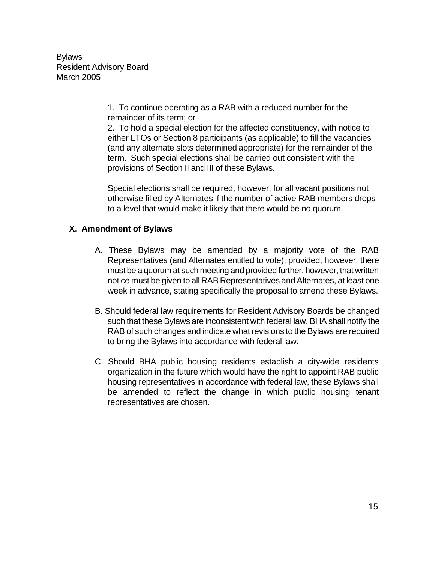> 1. To continue operating as a RAB with a reduced number for the remainder of its term; or

2. To hold a special election for the affected constituency, with notice to either LTOs or Section 8 participants (as applicable) to fill the vacancies (and any alternate slots determined appropriate) for the remainder of the term. Such special elections shall be carried out consistent with the provisions of Section II and III of these Bylaws.

Special elections shall be required, however, for all vacant positions not otherwise filled by Alternates if the number of active RAB members drops to a level that would make it likely that there would be no quorum.

# **X. Amendment of Bylaws**

- A. These Bylaws may be amended by a majority vote of the RAB Representatives (and Alternates entitled to vote); provided, however, there must be a quorum at such meeting and provided further, however, that written notice must be given to all RAB Representatives and Alternates, at least one week in advance, stating specifically the proposal to amend these Bylaws.
- B. Should federal law requirements for Resident Advisory Boards be changed such that these Bylaws are inconsistent with federal law, BHA shall notify the RAB of such changes and indicate what revisions to the Bylaws are required to bring the Bylaws into accordance with federal law.
- C. Should BHA public housing residents establish a city-wide residents organization in the future which would have the right to appoint RAB public housing representatives in accordance with federal law, these Bylaws shall be amended to reflect the change in which public housing tenant representatives are chosen.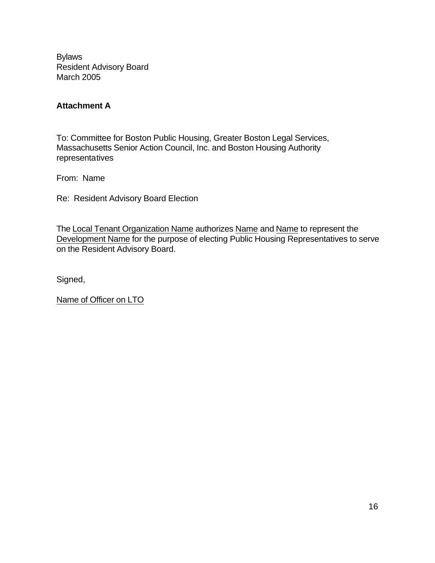# **Attachment A**

To: Committee for Boston Public Housing, Greater Boston Legal Services, Massachusetts Senior Action Council, Inc. and Boston Housing Authority representatives

From: Name

Re: Resident Advisory Board Election

The Local Tenant Organization Name authorizes Name and Name to represent the Development Name for the purpose of electing Public Housing Representatives to serve on the Resident Advisory Board.

Signed,

Name of Officer on LTO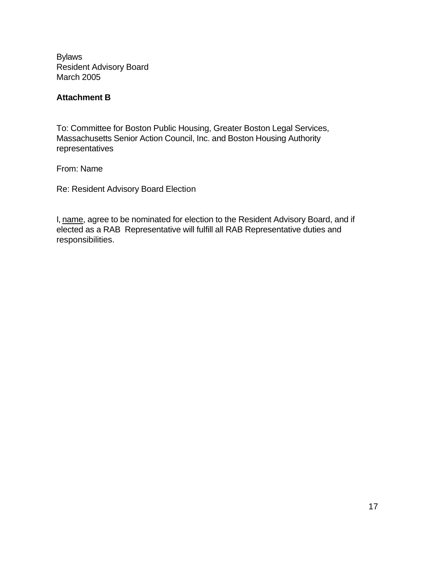# **Attachment B**

To: Committee for Boston Public Housing, Greater Boston Legal Services, Massachusetts Senior Action Council, Inc. and Boston Housing Authority representatives

From: Name

Re: Resident Advisory Board Election

I, name, agree to be nominated for election to the Resident Advisory Board, and if elected as a RAB Representative will fulfill all RAB Representative duties and responsibilities.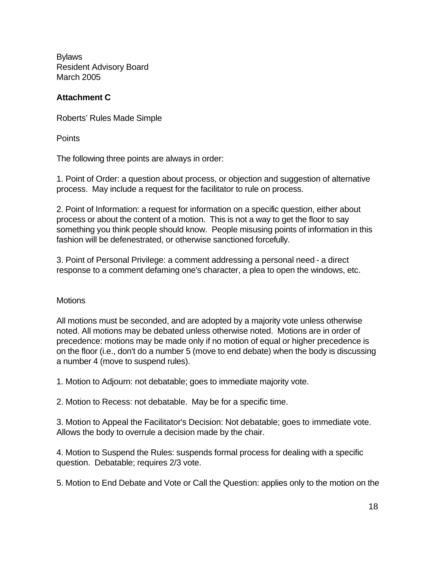# **Attachment C**

Roberts' Rules Made Simple

**Points** 

The following three points are always in order:

1. Point of Order: a question about process, or objection and suggestion of alternative process. May include a request for the facilitator to rule on process.

2. Point of Information: a request for information on a specific question, either about process or about the content of a motion. This is not a way to get the floor to say something you think people should know. People misusing points of information in this fashion will be defenestrated, or otherwise sanctioned forcefully.

3. Point of Personal Privilege: a comment addressing a personal need - a direct response to a comment defaming one's character, a plea to open the windows, etc.

## **Motions**

All motions must be seconded, and are adopted by a majority vote unless otherwise noted. All motions may be debated unless otherwise noted. Motions are in order of precedence: motions may be made only if no motion of equal or higher precedence is on the floor (i.e., don't do a number 5 (move to end debate) when the body is discussing a number 4 (move to suspend rules).

1. Motion to Adjourn: not debatable; goes to immediate majority vote.

2. Motion to Recess: not debatable. May be for a specific time.

3. Motion to Appeal the Facilitator's Decision: Not debatable; goes to immediate vote. Allows the body to overrule a decision made by the chair.

4. Motion to Suspend the Rules: suspends formal process for dealing with a specific question. Debatable; requires 2/3 vote.

5. Motion to End Debate and Vote or Call the Question: applies only to the motion on the